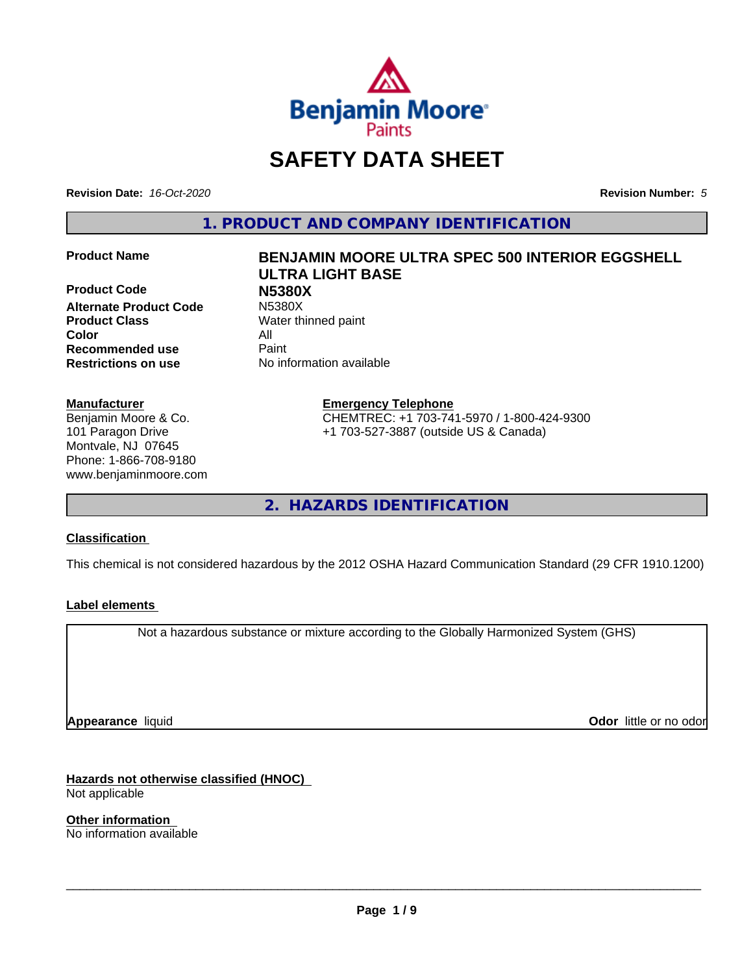

# **SAFETY DATA SHEET**

**Revision Date:** *16-Oct-2020* **Revision Number:** *5*

**1. PRODUCT AND COMPANY IDENTIFICATION**

**Product Code N5380X Alternate Product Code Product Class** Water thinned paint **Color** All **Recommended use** Paint **Restrictions on use** No information available

#### **Manufacturer**

Benjamin Moore & Co. 101 Paragon Drive Montvale, NJ 07645 Phone: 1-866-708-9180 www.benjaminmoore.com

# **Product Name BENJAMIN MOORE ULTRA SPEC 500 INTERIOR EGGSHELL ULTRA LIGHT BASE**

**Emergency Telephone** CHEMTREC: +1 703-741-5970 / 1-800-424-9300 +1 703-527-3887 (outside US & Canada)

**2. HAZARDS IDENTIFICATION**

### **Classification**

This chemical is not considered hazardous by the 2012 OSHA Hazard Communication Standard (29 CFR 1910.1200)

### **Label elements**

Not a hazardous substance or mixture according to the Globally Harmonized System (GHS)

**Appearance** liquid

**Odor** little or no odor

**Hazards not otherwise classified (HNOC)** Not applicable

**Other information** No information available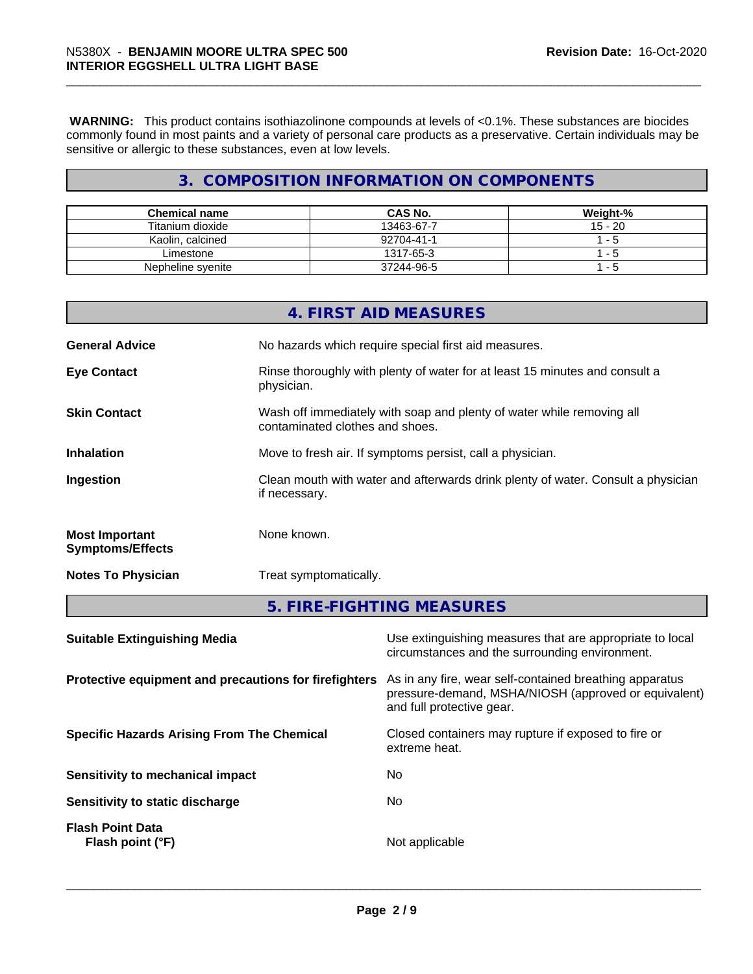**WARNING:** This product contains isothiazolinone compounds at levels of <0.1%. These substances are biocides commonly found in most paints and a variety of personal care products as a preservative. Certain individuals may be sensitive or allergic to these substances, even at low levels.

# **3. COMPOSITION INFORMATION ON COMPONENTS**

| Chemical name     | <b>CAS No.</b> | Weight-%  |
|-------------------|----------------|-----------|
| Titanium dioxide  | 13463-67-7     | $15 - 20$ |
| Kaolin, calcined  | 92704-41-1     | - 5       |
| Limestone         | 1317-65-3      | $ -$      |
| Nepheline syenite | 37244-96-5     | - 5       |

|                                                  | 4. FIRST AID MEASURES                                                                                    |
|--------------------------------------------------|----------------------------------------------------------------------------------------------------------|
| <b>General Advice</b>                            | No hazards which require special first aid measures.                                                     |
| <b>Eye Contact</b>                               | Rinse thoroughly with plenty of water for at least 15 minutes and consult a<br>physician.                |
| <b>Skin Contact</b>                              | Wash off immediately with soap and plenty of water while removing all<br>contaminated clothes and shoes. |
| <b>Inhalation</b>                                | Move to fresh air. If symptoms persist, call a physician.                                                |
| Ingestion                                        | Clean mouth with water and afterwards drink plenty of water. Consult a physician<br>if necessary.        |
| <b>Most Important</b><br><b>Symptoms/Effects</b> | None known.                                                                                              |
| <b>Notes To Physician</b>                        | Treat symptomatically.                                                                                   |
|                                                  | 5. FIRE-FIGHTING MEASURES                                                                                |
|                                                  |                                                                                                          |

| <b>Suitable Extinguishing Media</b>                   | Use extinguishing measures that are appropriate to local<br>circumstances and the surrounding environment.                                   |
|-------------------------------------------------------|----------------------------------------------------------------------------------------------------------------------------------------------|
| Protective equipment and precautions for firefighters | As in any fire, wear self-contained breathing apparatus<br>pressure-demand, MSHA/NIOSH (approved or equivalent)<br>and full protective gear. |
| <b>Specific Hazards Arising From The Chemical</b>     | Closed containers may rupture if exposed to fire or<br>extreme heat.                                                                         |
| Sensitivity to mechanical impact                      | No.                                                                                                                                          |
| Sensitivity to static discharge                       | No.                                                                                                                                          |
| <b>Flash Point Data</b><br>Flash point $(°F)$         | Not applicable                                                                                                                               |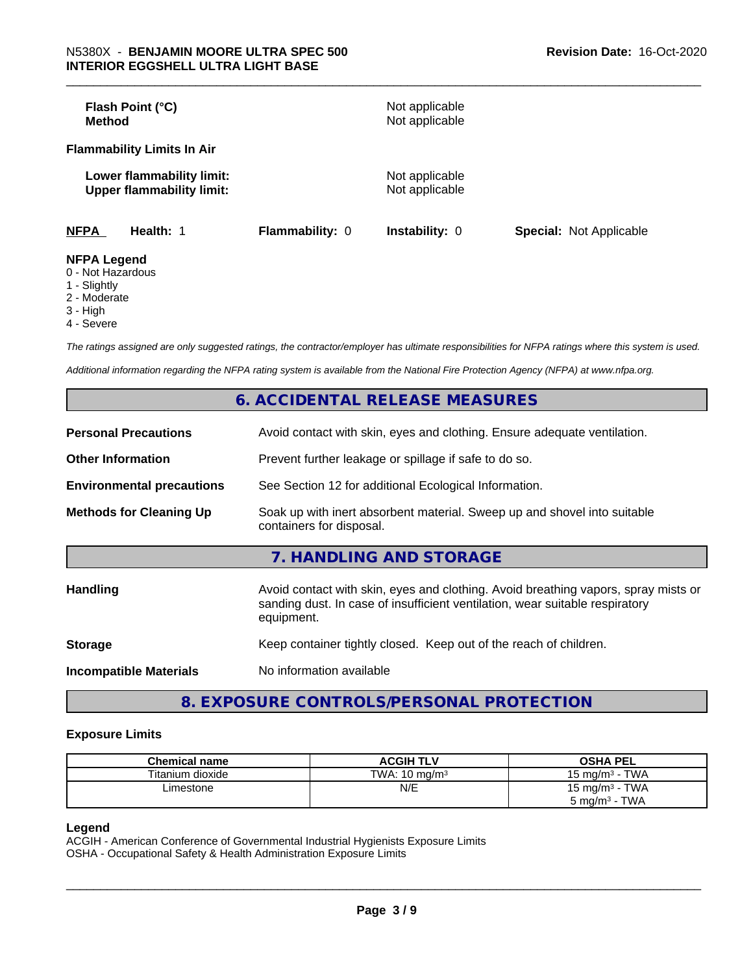| Flash Point (°C)<br>Method                                    |                        | Not applicable<br>Not applicable |                                |
|---------------------------------------------------------------|------------------------|----------------------------------|--------------------------------|
| <b>Flammability Limits In Air</b>                             |                        |                                  |                                |
| Lower flammability limit:<br><b>Upper flammability limit:</b> |                        | Not applicable<br>Not applicable |                                |
| <b>NFPA</b><br>Health: 1                                      | <b>Flammability: 0</b> | <b>Instability: 0</b>            | <b>Special: Not Applicable</b> |
| <b>NFPA Legend</b><br>0 Not Hozardous                         |                        |                                  |                                |

- 0 Not Hazardous
- 1 Slightly
- 2 Moderate
- 3 High
- 4 Severe

*The ratings assigned are only suggested ratings, the contractor/employer has ultimate responsibilities for NFPA ratings where this system is used.*

*Additional information regarding the NFPA rating system is available from the National Fire Protection Agency (NFPA) at www.nfpa.org.*

|                                  | 6. ACCIDENTAL RELEASE MEASURES                                                                                                                                                   |
|----------------------------------|----------------------------------------------------------------------------------------------------------------------------------------------------------------------------------|
| <b>Personal Precautions</b>      | Avoid contact with skin, eyes and clothing. Ensure adequate ventilation.                                                                                                         |
| <b>Other Information</b>         | Prevent further leakage or spillage if safe to do so.                                                                                                                            |
| <b>Environmental precautions</b> | See Section 12 for additional Ecological Information.                                                                                                                            |
| <b>Methods for Cleaning Up</b>   | Soak up with inert absorbent material. Sweep up and shovel into suitable<br>containers for disposal.                                                                             |
|                                  | 7. HANDLING AND STORAGE                                                                                                                                                          |
| <b>Handling</b>                  | Avoid contact with skin, eyes and clothing. Avoid breathing vapors, spray mists or<br>sanding dust. In case of insufficient ventilation, wear suitable respiratory<br>equipment. |
| <b>Storage</b>                   | Keep container tightly closed. Keep out of the reach of children.                                                                                                                |
| <b>Incompatible Materials</b>    | No information available                                                                                                                                                         |

**8. EXPOSURE CONTROLS/PERSONAL PROTECTION**

#### **Exposure Limits**

| <b>Chemical name</b> | <b>ACGIH TLV</b>         | <b>OSHA PEL</b>                       |
|----------------------|--------------------------|---------------------------------------|
| Titanium dioxide     | TWA: $10 \text{ ma/m}^3$ | <b>TWA</b><br>$15 \text{ ma/m}^3 - 1$ |
| ∟imestone            | N/E                      | 15 mg/m $3$ - TWA                     |
|                      |                          | TWA<br>$5 \text{ ma/m}^3$ -           |

#### **Legend**

ACGIH - American Conference of Governmental Industrial Hygienists Exposure Limits OSHA - Occupational Safety & Health Administration Exposure Limits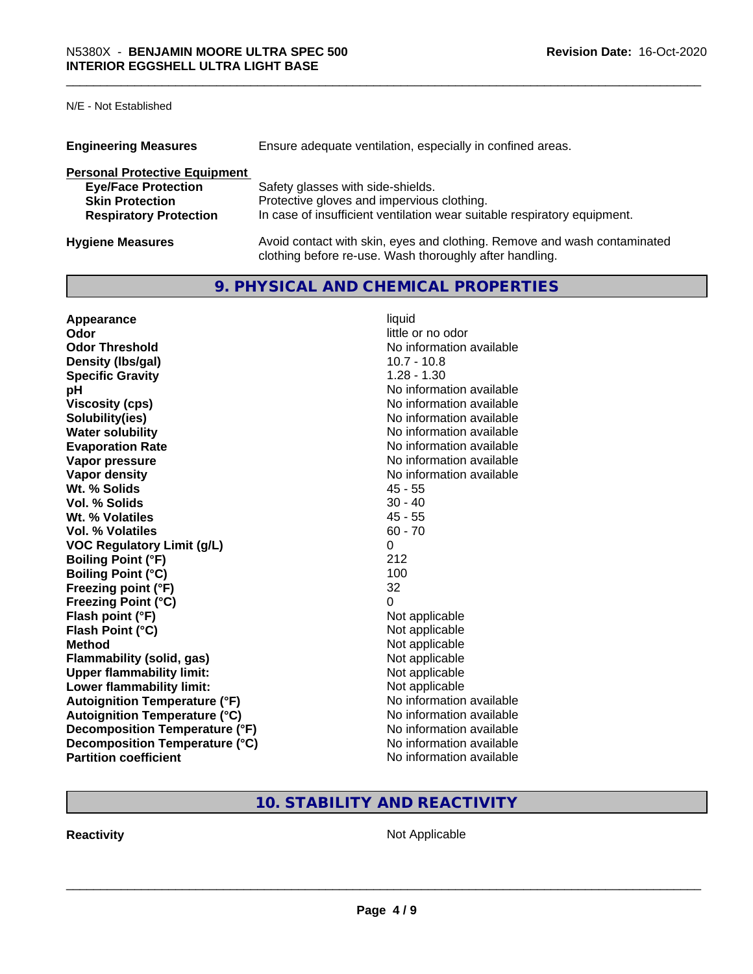N/E - Not Established

| <b>Engineering Measures</b>          | Ensure adequate ventilation, especially in confined areas.                                                                          |
|--------------------------------------|-------------------------------------------------------------------------------------------------------------------------------------|
| <b>Personal Protective Equipment</b> |                                                                                                                                     |
| <b>Eye/Face Protection</b>           | Safety glasses with side-shields.                                                                                                   |
| <b>Skin Protection</b>               | Protective gloves and impervious clothing.                                                                                          |
| <b>Respiratory Protection</b>        | In case of insufficient ventilation wear suitable respiratory equipment.                                                            |
| <b>Hygiene Measures</b>              | Avoid contact with skin, eyes and clothing. Remove and wash contaminated<br>clothing before re-use. Wash thoroughly after handling. |

# **9. PHYSICAL AND CHEMICAL PROPERTIES**

| Appearance                            | liquid                   |
|---------------------------------------|--------------------------|
| Odor                                  | little or no odor        |
| <b>Odor Threshold</b>                 | No information available |
| Density (Ibs/gal)                     | $10.7 - 10.8$            |
| <b>Specific Gravity</b>               | $1.28 - 1.30$            |
| рH                                    | No information available |
| <b>Viscosity (cps)</b>                | No information available |
| Solubility(ies)                       | No information available |
| <b>Water solubility</b>               | No information available |
| <b>Evaporation Rate</b>               | No information available |
| Vapor pressure                        | No information available |
| Vapor density                         | No information available |
| Wt. % Solids                          | $45 - 55$                |
| Vol. % Solids                         | $30 - 40$                |
| Wt. % Volatiles                       | $45 - 55$                |
| Vol. % Volatiles                      | $60 - 70$                |
| <b>VOC Regulatory Limit (g/L)</b>     | 0                        |
| <b>Boiling Point (°F)</b>             | 212                      |
| <b>Boiling Point (°C)</b>             | 100                      |
| Freezing point (°F)                   | 32                       |
| <b>Freezing Point (°C)</b>            | 0                        |
| Flash point (°F)                      | Not applicable           |
| Flash Point (°C)                      | Not applicable           |
| <b>Method</b>                         | Not applicable           |
| <b>Flammability (solid, gas)</b>      | Not applicable           |
| <b>Upper flammability limit:</b>      | Not applicable           |
| Lower flammability limit:             | Not applicable           |
| <b>Autoignition Temperature (°F)</b>  | No information available |
| <b>Autoignition Temperature (°C)</b>  | No information available |
| <b>Decomposition Temperature (°F)</b> | No information available |
| Decomposition Temperature (°C)        | No information available |
| <b>Partition coefficient</b>          | No information available |

# **10. STABILITY AND REACTIVITY**

**Reactivity Not Applicable** Not Applicable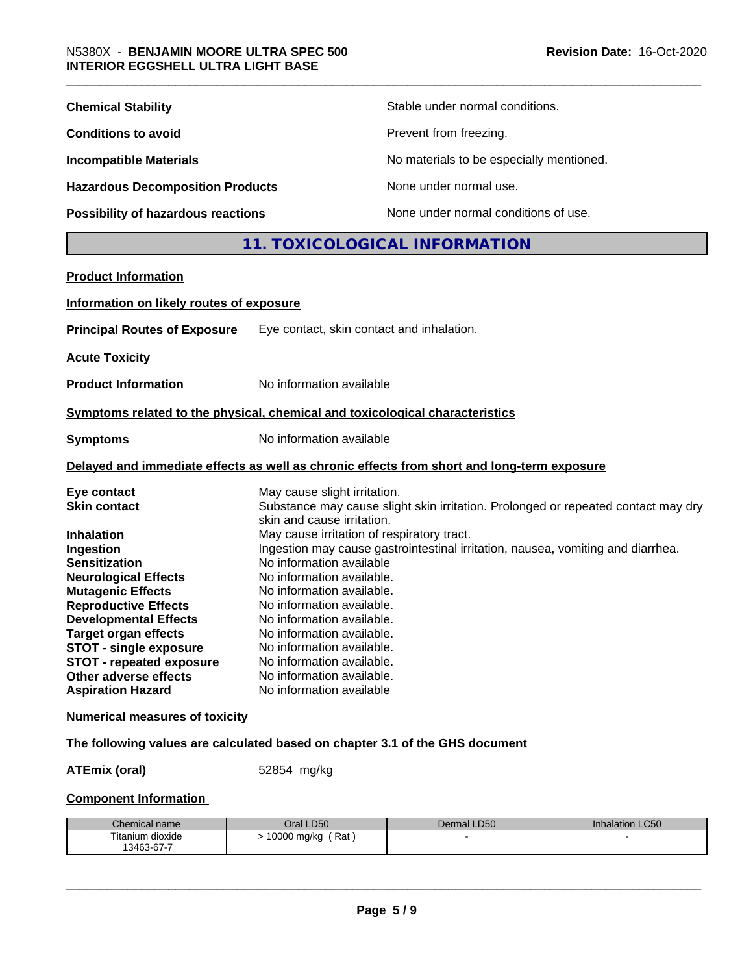| <b>Chemical Stability</b>                                                                                                                                                                                                                                                                                                                                                                                               |                                                                                                                                                                                                                                                                                                                                                                                                          | Stable under normal conditions.                                                                                                                                      |
|-------------------------------------------------------------------------------------------------------------------------------------------------------------------------------------------------------------------------------------------------------------------------------------------------------------------------------------------------------------------------------------------------------------------------|----------------------------------------------------------------------------------------------------------------------------------------------------------------------------------------------------------------------------------------------------------------------------------------------------------------------------------------------------------------------------------------------------------|----------------------------------------------------------------------------------------------------------------------------------------------------------------------|
| <b>Conditions to avoid</b>                                                                                                                                                                                                                                                                                                                                                                                              |                                                                                                                                                                                                                                                                                                                                                                                                          | Prevent from freezing.                                                                                                                                               |
| <b>Incompatible Materials</b>                                                                                                                                                                                                                                                                                                                                                                                           |                                                                                                                                                                                                                                                                                                                                                                                                          | No materials to be especially mentioned.                                                                                                                             |
| <b>Hazardous Decomposition Products</b>                                                                                                                                                                                                                                                                                                                                                                                 |                                                                                                                                                                                                                                                                                                                                                                                                          | None under normal use.                                                                                                                                               |
| <b>Possibility of hazardous reactions</b>                                                                                                                                                                                                                                                                                                                                                                               |                                                                                                                                                                                                                                                                                                                                                                                                          | None under normal conditions of use.                                                                                                                                 |
|                                                                                                                                                                                                                                                                                                                                                                                                                         |                                                                                                                                                                                                                                                                                                                                                                                                          | 11. TOXICOLOGICAL INFORMATION                                                                                                                                        |
| <b>Product Information</b>                                                                                                                                                                                                                                                                                                                                                                                              |                                                                                                                                                                                                                                                                                                                                                                                                          |                                                                                                                                                                      |
| Information on likely routes of exposure                                                                                                                                                                                                                                                                                                                                                                                |                                                                                                                                                                                                                                                                                                                                                                                                          |                                                                                                                                                                      |
| <b>Principal Routes of Exposure</b>                                                                                                                                                                                                                                                                                                                                                                                     | Eye contact, skin contact and inhalation.                                                                                                                                                                                                                                                                                                                                                                |                                                                                                                                                                      |
| <b>Acute Toxicity</b>                                                                                                                                                                                                                                                                                                                                                                                                   |                                                                                                                                                                                                                                                                                                                                                                                                          |                                                                                                                                                                      |
| <b>Product Information</b>                                                                                                                                                                                                                                                                                                                                                                                              | No information available                                                                                                                                                                                                                                                                                                                                                                                 |                                                                                                                                                                      |
| Symptoms related to the physical, chemical and toxicological characteristics                                                                                                                                                                                                                                                                                                                                            |                                                                                                                                                                                                                                                                                                                                                                                                          |                                                                                                                                                                      |
| <b>Symptoms</b>                                                                                                                                                                                                                                                                                                                                                                                                         | No information available                                                                                                                                                                                                                                                                                                                                                                                 |                                                                                                                                                                      |
|                                                                                                                                                                                                                                                                                                                                                                                                                         |                                                                                                                                                                                                                                                                                                                                                                                                          | Delayed and immediate effects as well as chronic effects from short and long-term exposure                                                                           |
| Eye contact<br><b>Skin contact</b><br><b>Inhalation</b><br>Ingestion<br><b>Sensitization</b><br><b>Neurological Effects</b><br><b>Mutagenic Effects</b><br><b>Reproductive Effects</b><br><b>Developmental Effects</b><br><b>Target organ effects</b><br><b>STOT - single exposure</b><br><b>STOT - repeated exposure</b><br>Other adverse effects<br><b>Aspiration Hazard</b><br><b>Numerical measures of toxicity</b> | May cause slight irritation.<br>skin and cause irritation.<br>May cause irritation of respiratory tract.<br>No information available<br>No information available.<br>No information available.<br>No information available.<br>No information available.<br>No information available.<br>No information available.<br>No information available.<br>No information available.<br>No information available | Substance may cause slight skin irritation. Prolonged or repeated contact may dry<br>Ingestion may cause gastrointestinal irritation, nausea, vomiting and diarrhea. |
| The following values are calculated based on chapter 3.1 of the GHS document                                                                                                                                                                                                                                                                                                                                            |                                                                                                                                                                                                                                                                                                                                                                                                          |                                                                                                                                                                      |
| <b>ATEmix (oral)</b>                                                                                                                                                                                                                                                                                                                                                                                                    | 52854 mg/kg                                                                                                                                                                                                                                                                                                                                                                                              |                                                                                                                                                                      |
| <b>Component Information</b>                                                                                                                                                                                                                                                                                                                                                                                            |                                                                                                                                                                                                                                                                                                                                                                                                          |                                                                                                                                                                      |

| Rat<br>Titanium dioxide | Chemical name | Oral LD50   | Dermal LD50 | <b>Inhalation LC50</b> |
|-------------------------|---------------|-------------|-------------|------------------------|
| 13463-67-7              |               | 10000 mg/kg |             |                        |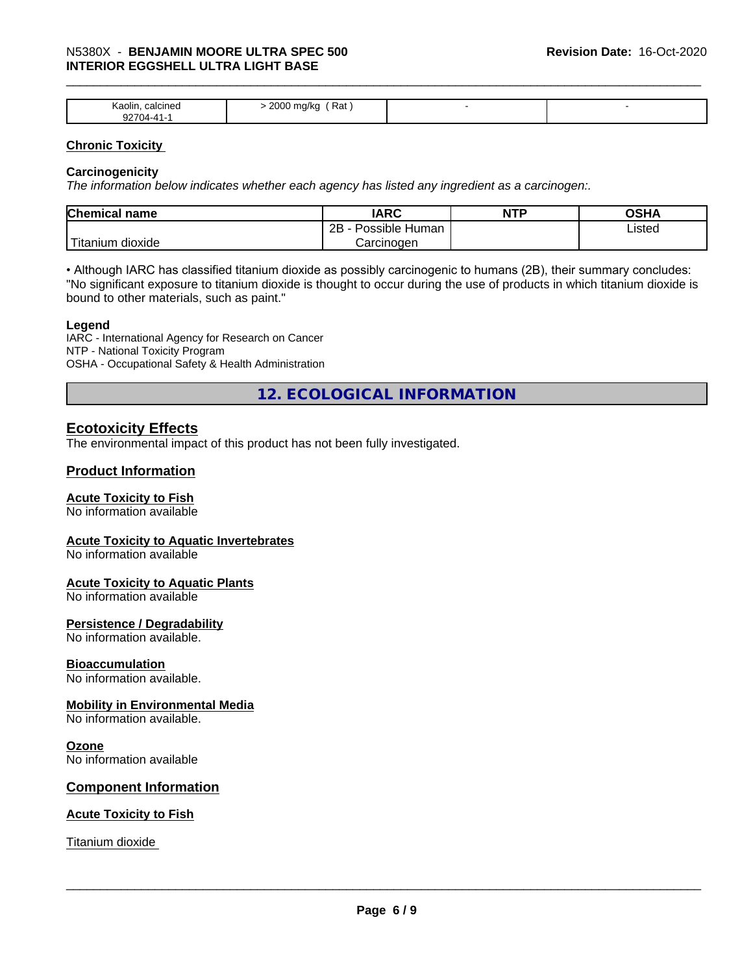# \_\_\_\_\_\_\_\_\_\_\_\_\_\_\_\_\_\_\_\_\_\_\_\_\_\_\_\_\_\_\_\_\_\_\_\_\_\_\_\_\_\_\_\_\_\_\_\_\_\_\_\_\_\_\_\_\_\_\_\_\_\_\_\_\_\_\_\_\_\_\_\_\_\_\_\_\_\_\_\_\_\_\_\_\_\_\_\_\_\_\_\_\_ N5380X - **BENJAMIN MOORE ULTRA SPEC <sup>500</sup> INTERIOR EGGSHELL ULTRA LIGHT BASE**

| Kaolin,<br>calcined<br>--- | 2000<br>' Rat<br>TIU/KU<br>ັ |  |
|----------------------------|------------------------------|--|

#### **Chronic Toxicity**

#### **Carcinogenicity**

*The information below indicateswhether each agency has listed any ingredient as a carcinogen:.*

| Chemical<br>name               | <b>IARC</b>                               | NTP | $\sim$ $\sim$<br>אחטט |
|--------------------------------|-------------------------------------------|-----|-----------------------|
|                                | .<br>クロ<br>Human<br>Possible<br><u>__</u> |     | Listed                |
| .<br>dioxide<br><b>itanium</b> | Carcinoɑen                                |     |                       |

• Although IARC has classified titanium dioxide as possibly carcinogenic to humans (2B), their summary concludes: "No significant exposure to titanium dioxide is thought to occur during the use of products in which titanium dioxide is bound to other materials, such as paint."

#### **Legend**

IARC - International Agency for Research on Cancer NTP - National Toxicity Program OSHA - Occupational Safety & Health Administration

**12. ECOLOGICAL INFORMATION**

# **Ecotoxicity Effects**

The environmental impact of this product has not been fully investigated.

### **Product Information**

#### **Acute Toxicity to Fish**

No information available

#### **Acute Toxicity to Aquatic Invertebrates**

No information available

#### **Acute Toxicity to Aquatic Plants**

No information available

#### **Persistence / Degradability**

No information available.

#### **Bioaccumulation**

No information available.

#### **Mobility in Environmental Media**

No information available.

#### **Ozone**

No information available

#### **Component Information**

#### **Acute Toxicity to Fish**

Titanium dioxide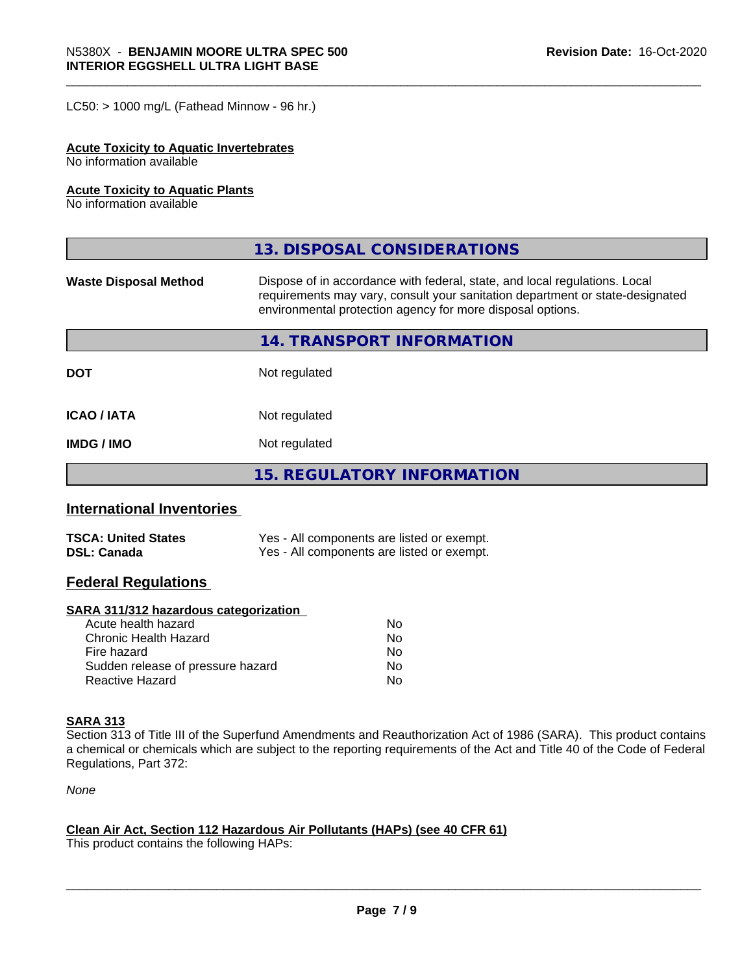$LC50:$  > 1000 mg/L (Fathead Minnow - 96 hr.)

#### **Acute Toxicity to Aquatic Invertebrates**

No information available

#### **Acute Toxicity to Aquatic Plants**

No information available

|                              | 13. DISPOSAL CONSIDERATIONS                                                                                                                                                                                               |  |
|------------------------------|---------------------------------------------------------------------------------------------------------------------------------------------------------------------------------------------------------------------------|--|
| <b>Waste Disposal Method</b> | Dispose of in accordance with federal, state, and local regulations. Local<br>requirements may vary, consult your sanitation department or state-designated<br>environmental protection agency for more disposal options. |  |
|                              | 14. TRANSPORT INFORMATION                                                                                                                                                                                                 |  |
| <b>DOT</b>                   | Not regulated                                                                                                                                                                                                             |  |
| <b>ICAO/IATA</b>             | Not regulated                                                                                                                                                                                                             |  |
| <b>IMDG/IMO</b>              | Not regulated                                                                                                                                                                                                             |  |
|                              | 15. REGULATORY INFORMATION                                                                                                                                                                                                |  |

# **International Inventories**

| <b>TSCA: United States</b> | Yes - All components are listed or exempt. |
|----------------------------|--------------------------------------------|
| <b>DSL: Canada</b>         | Yes - All components are listed or exempt. |

# **Federal Regulations**

#### **SARA 311/312 hazardous categorization**

| Acute health hazard               | No |
|-----------------------------------|----|
| Chronic Health Hazard             | No |
| Fire hazard                       | No |
| Sudden release of pressure hazard | Nο |
| Reactive Hazard                   | N٥ |

# **SARA 313**

Section 313 of Title III of the Superfund Amendments and Reauthorization Act of 1986 (SARA). This product contains a chemical or chemicals which are subject to the reporting requirements of the Act and Title 40 of the Code of Federal Regulations, Part 372:

*None*

#### **Clean Air Act,Section 112 Hazardous Air Pollutants (HAPs) (see 40 CFR 61)**

This product contains the following HAPs: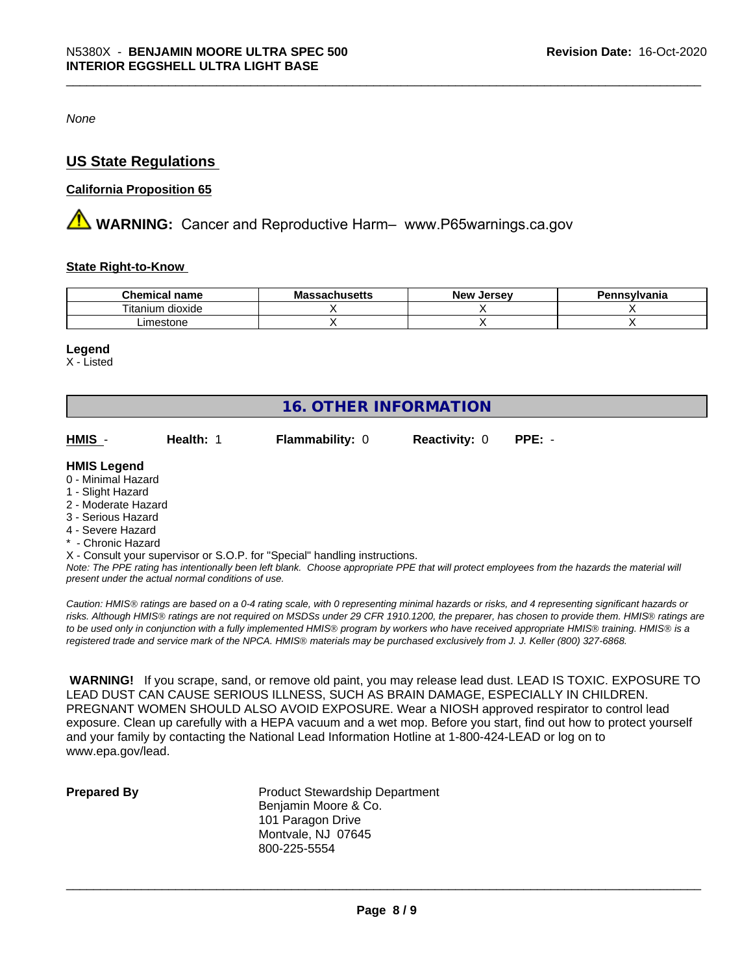*None*

# **US State Regulations**

#### **California Proposition 65**

**AVIMARNING:** Cancer and Reproductive Harm– www.P65warnings.ca.gov

#### **State Right-to-Know**

| Chemical<br>name                                    | IVIC<br>aunuscus | <b>Jerse</b> v<br><b>Nev</b> | svivania |
|-----------------------------------------------------|------------------|------------------------------|----------|
| $- \cdot$ .<br>$\cdots$<br>dioxide<br>ιuπ<br>ltanı! |                  |                              |          |
| ৲ston⊾<br>ım∆c                                      |                  |                              |          |

#### **Legend**

X - Listed

| <b>16. OTHER INFORMATION</b> |           |                                                                            |                      |          |  |  |
|------------------------------|-----------|----------------------------------------------------------------------------|----------------------|----------|--|--|
| HMIS -                       | Health: 1 | <b>Flammability: 0</b>                                                     | <b>Reactivity: 0</b> | $PPE: -$ |  |  |
| <b>HMIS Legend</b>           |           |                                                                            |                      |          |  |  |
| 0 - Minimal Hazard           |           |                                                                            |                      |          |  |  |
| 1 - Slight Hazard            |           |                                                                            |                      |          |  |  |
| 2 - Moderate Hazard          |           |                                                                            |                      |          |  |  |
| 3 - Serious Hazard           |           |                                                                            |                      |          |  |  |
| 4 - Severe Hazard            |           |                                                                            |                      |          |  |  |
| * - Chronic Hazard           |           |                                                                            |                      |          |  |  |
|                              |           | X - Consult your supervisor or S.O.P. for "Special" handling instructions. |                      |          |  |  |

*Note: The PPE rating has intentionally been left blank. Choose appropriate PPE that will protect employees from the hazards the material will present under the actual normal conditions of use.*

*Caution: HMISÒ ratings are based on a 0-4 rating scale, with 0 representing minimal hazards or risks, and 4 representing significant hazards or risks. Although HMISÒ ratings are not required on MSDSs under 29 CFR 1910.1200, the preparer, has chosen to provide them. HMISÒ ratings are to be used only in conjunction with a fully implemented HMISÒ program by workers who have received appropriate HMISÒ training. HMISÒ is a registered trade and service mark of the NPCA. HMISÒ materials may be purchased exclusively from J. J. Keller (800) 327-6868.*

 **WARNING!** If you scrape, sand, or remove old paint, you may release lead dust. LEAD IS TOXIC. EXPOSURE TO LEAD DUST CAN CAUSE SERIOUS ILLNESS, SUCH AS BRAIN DAMAGE, ESPECIALLY IN CHILDREN. PREGNANT WOMEN SHOULD ALSO AVOID EXPOSURE.Wear a NIOSH approved respirator to control lead exposure. Clean up carefully with a HEPA vacuum and a wet mop. Before you start, find out how to protect yourself and your family by contacting the National Lead Information Hotline at 1-800-424-LEAD or log on to www.epa.gov/lead.

**Prepared By** Product Stewardship Department Benjamin Moore & Co. 101 Paragon Drive Montvale, NJ 07645 800-225-5554